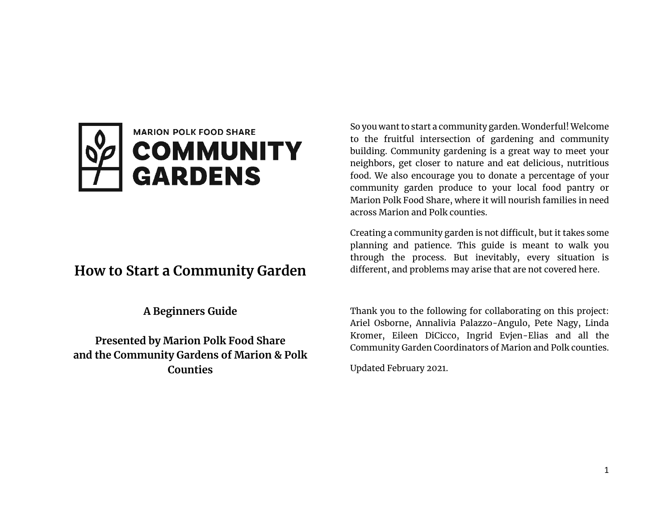

# **How to Start a Community Garden**

**A Beginners Guide**

**Presented by Marion Polk Food Share and the Community Gardens of Marion & Polk Counties**

So you want to start a community garden. Wonderful! Welcome to the fruitful intersection of gardening and community building. Community gardening is a great way to meet your neighbors, get closer to nature and eat delicious, nutritious food. We also encourage you to donate a percentage of your community garden produce to your local food pantry or Marion Polk Food Share, where it will nourish families in need across Marion and Polk counties.

Creating a community garden is not difficult, but it takes some planning and patience. This guide is meant to walk you through the process. But inevitably, every situation is different, and problems may arise that are not covered here.

Thank you to the following for collaborating on this project: Ariel Osborne, Annalivia Palazzo-Angulo, Pete Nagy, Linda Kromer, Eileen DiCicco, Ingrid Evjen-Elias and all the Community Garden Coordinators of Marion and Polk counties.

Updated February 2021.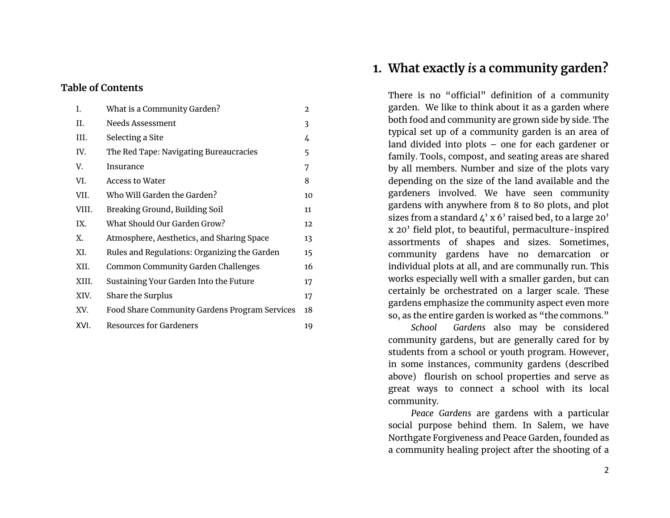### **Table of Contents**

| I.    | What is a Community Garden?                   | 2  |
|-------|-----------------------------------------------|----|
| Н.    | Needs Assessment                              | 3  |
| III.  | Selecting a Site                              | 4  |
| IV.   | The Red Tape: Navigating Bureaucracies        | 5  |
| V.    | Insurance                                     | 7  |
| VI.   | Access to Water                               | 8  |
| VII.  | Who Will Garden the Garden?                   | 10 |
| VIII. | Breaking Ground, Building Soil                | 11 |
| IX.   | What Should Our Garden Grow?                  | 12 |
| Х.    | Atmosphere, Aesthetics, and Sharing Space     | 13 |
| XI.   | Rules and Regulations: Organizing the Garden  | 15 |
| XII.  | Common Community Garden Challenges            | 16 |
| XIII. | Sustaining Your Garden Into the Future        | 17 |
| XIV.  | Share the Surplus                             | 17 |
| XV.   | Food Share Community Gardens Program Services | 18 |
| XVI.  | <b>Resources for Gardeners</b>                | 19 |

## **1. What exactly** *is* **a community garden?**

There is no "official" definition of a community garden. We like to think about it as a garden where both food and community are grown side by side. The typical set up of a community garden is an area of land divided into plots – one for each gardener or family. Tools, compost, and seating areas are shared by all members. Number and size of the plots vary depending on the size of the land available and the gardeners involved. We have seen community gardens with anywhere from 8 to 80 plots, and plot sizes from a standard  $\mu$ ' x 6' raised bed, to a large 20' x 20' field plot, to beautiful, permaculture-inspired assortments of shapes and sizes. Sometimes, community gardens have no demarcation or individual plots at all, and are communally run. This works especially well with a smaller garden, but can certainly be orchestrated on a larger scale. These gardens emphasize the community aspect even more so, as the entire garden is worked as "the commons."

*School Gardens* also may be considered community gardens, but are generally cared for by students from a school or youth program. However, in some instances, community gardens (described above) flourish on school properties and serve as great ways to connect a school with its local community.

*Peace Gardens* are gardens with a particular social purpose behind them. In Salem, we have Northgate Forgiveness and Peace Garden, founded as a community healing project after the shooting of a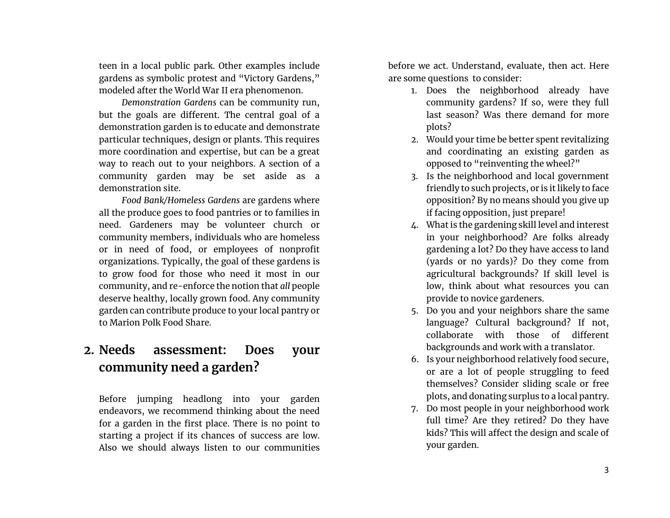teen in a local public park. Other examples include gardens as symbolic protest and "Victory Gardens," modeled after the World War II era phenomenon.

*Demonstration Gardens* can be community run, but the goals are different. The central goal of a demonstration garden is to educate and demonstrate particular techniques, design or plants. This requires more coordination and expertise, but can be a great way to reach out to your neighbors. A section of a community garden may be set aside as a demonstration site.

*Food Bank/Homeless Gardens* are gardens where all the produce goes to food pantries or to families in need. Gardeners may be volunteer church or community members, individuals who are homeless or in need of food, or employees of nonprofit organizations. Typically, the goal of these gardens is to grow food for those who need it most in our community, and re-enforce the notion that *all* people deserve healthy, locally grown food. Any community garden can contribute produce to your local pantry or to Marion Polk Food Share.

# **2. Needs assessment: Does your community need a garden?**

Before jumping headlong into your garden endeavors, we recommend thinking about the need for a garden in the first place. There is no point to starting a project if its chances of success are low. Also we should always listen to our communities

before we act. Understand, evaluate, then act. Here are some questions to consider:

- 1. Does the neighborhood already have community gardens? If so, were they full last season? Was there demand for more plots?
- 2. Would your time be better spent revitalizing and coordinating an existing garden as opposed to "reinventing the wheel?"
- 3. Is the neighborhood and local government friendly to such projects, or is it likely to face opposition? By no means should you give up if facing opposition, just prepare!
- 4. What is the gardening skill level and interest in your neighborhood? Are folks already gardening a lot? Do they have access to land (yards or no yards)? Do they come from agricultural backgrounds? If skill level is low, think about what resources you can provide to novice gardeners.
- 5. Do you and your neighbors share the same language? Cultural background? If not, collaborate with those of different backgrounds and work with a translator.
- 6. Is your neighborhood relatively food secure, or are a lot of people struggling to feed themselves? Consider sliding scale or free plots, and donating surplus to a local pantry.
- 7. Do most people in your neighborhood work full time? Are they retired? Do they have kids? This will affect the design and scale of your garden.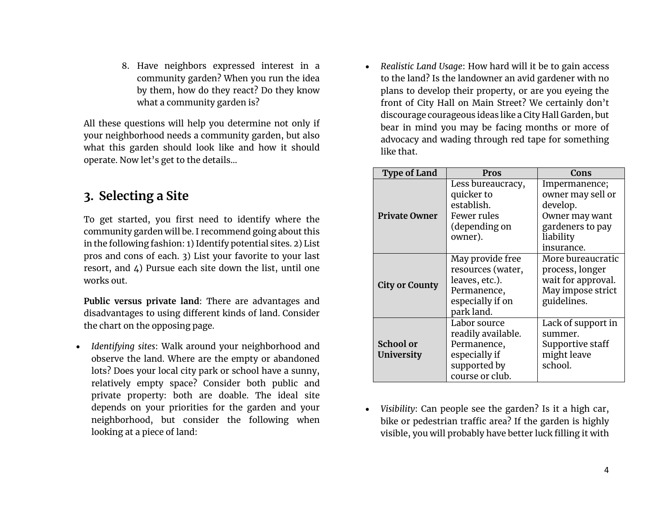8. Have neighbors expressed interest in a community garden? When you run the idea by them, how do they react? Do they know what a community garden is?

All these questions will help you determine not only if your neighborhood needs a community garden, but also what this garden should look like and how it should operate. Now let's get to the details…

# **3. Selecting a Site**

To get started, you first need to identify where the community garden will be. I recommend going about this in the following fashion: 1) Identify potential sites. 2) List pros and cons of each. 3) List your favorite to your last resort, and 4) Pursue each site down the list, until one works out.

**Public versus private land**: There are advantages and disadvantages to using different kinds of land. Consider the chart on the opposing page.

• *Identifying sites*: Walk around your neighborhood and observe the land. Where are the empty or abandoned lots? Does your local city park or school have a sunny, relatively empty space? Consider both public and private property: both are doable. The ideal site depends on your priorities for the garden and your neighborhood, but consider the following when looking at a piece of land:

• *Realistic Land Usage*: How hard will it be to gain access to the land? Is the landowner an avid gardener with no plans to develop their property, or are you eyeing the front of City Hall on Main Street? We certainly don't discourage courageous ideas like a City Hall Garden, but bear in mind you may be facing months or more of advocacy and wading through red tape for something like that.

| <b>Type of Land</b>            | Pros                                                                                                     | Cons                                                                                                            |
|--------------------------------|----------------------------------------------------------------------------------------------------------|-----------------------------------------------------------------------------------------------------------------|
| <b>Private Owner</b>           | Less bureaucracy,<br>quicker to<br>establish.<br>Fewer rules<br>(depending on<br>owner).                 | Impermanence;<br>owner may sell or<br>develop.<br>Owner may want<br>gardeners to pay<br>liability<br>insurance. |
| <b>City or County</b>          | May provide free<br>resources (water,<br>leaves, etc.).<br>Permanence,<br>especially if on<br>park land. | More bureaucratic<br>process, longer<br>wait for approval.<br>May impose strict<br>guidelines.                  |
| <b>School or</b><br>University | Labor source<br>readily available.<br>Permanence,<br>especially if<br>supported by<br>course or club.    | Lack of support in<br>summer.<br>Supportive staff<br>might leave<br>school.                                     |

• *Visibility*: Can people see the garden? Is it a high car, bike or pedestrian traffic area? If the garden is highly visible, you will probably have better luck filling it with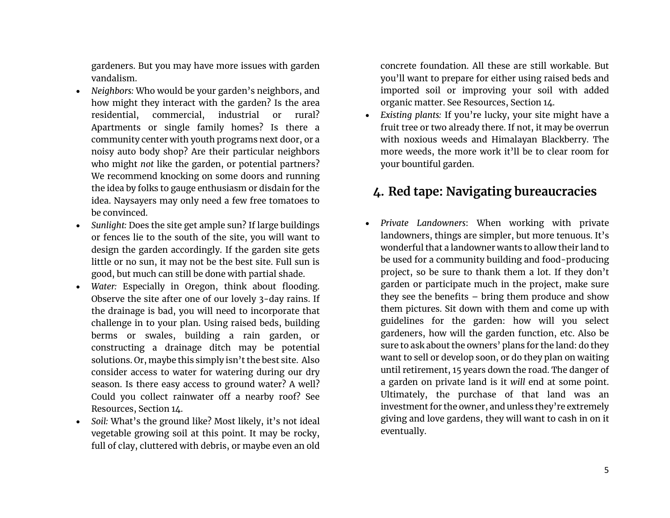gardeners. But you may have more issues with garden vandalism.

- *Neighbors:* Who would be your garden's neighbors, and how might they interact with the garden? Is the area residential, commercial, industrial or rural? Apartments or single family homes? Is there a community center with youth programs next door, or a noisy auto body shop? Are their particular neighbors who might *not* like the garden, or potential partners? We recommend knocking on some doors and running the idea by folks to gauge enthusiasm or disdain for the idea. Naysayers may only need a few free tomatoes to be convinced.
- *Sunlight:* Does the site get ample sun? If large buildings or fences lie to the south of the site, you will want to design the garden accordingly. If the garden site gets little or no sun, it may not be the best site. Full sun is good, but much can still be done with partial shade.
- *Water:* Especially in Oregon, think about flooding. Observe the site after one of our lovely 3-day rains. If the drainage is bad, you will need to incorporate that challenge in to your plan. Using raised beds, building berms or swales, building a rain garden, or constructing a drainage ditch may be potential solutions. Or, maybe this simply isn't the best site. Also consider access to water for watering during our dry season. Is there easy access to ground water? A well? Could you collect rainwater off a nearby roof? See Resources, Section 14.
- *Soil:* What's the ground like? Most likely, it's not ideal vegetable growing soil at this point. It may be rocky, full of clay, cluttered with debris, or maybe even an old

concrete foundation. All these are still workable. But you'll want to prepare for either using raised beds and imported soil or improving your soil with added organic matter. See Resources, Section 14.

• *Existing plants:* If you're lucky, your site might have a fruit tree or two already there. If not, it may be overrun with noxious weeds and Himalayan Blackberry. The more weeds, the more work it'll be to clear room for your bountiful garden.

# **4. Red tape: Navigating bureaucracies**

• *Private Landowners*: When working with private landowners, things are simpler, but more tenuous. It's wonderful that a landowner wants to allow their land to be used for a community building and food-producing project, so be sure to thank them a lot. If they don't garden or participate much in the project, make sure they see the benefits – bring them produce and show them pictures. Sit down with them and come up with guidelines for the garden: how will you select gardeners, how will the garden function, etc. Also be sure to ask about the owners' plans for the land: do they want to sell or develop soon, or do they plan on waiting until retirement, 15 years down the road. The danger of a garden on private land is it *will* end at some point. Ultimately, the purchase of that land was an investment for the owner, and unless they're extremely giving and love gardens, they will want to cash in on it eventually.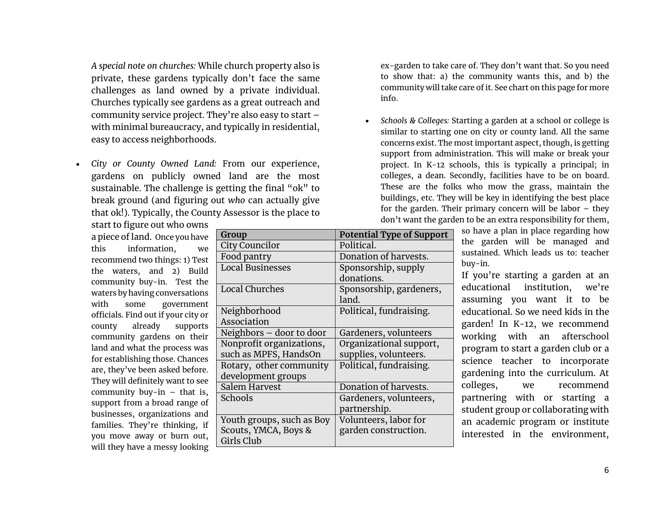*A special note on churches:* While church property also is private, these gardens typically don't face the same challenges as land owned by a private individual. Churches typically see gardens as a great outreach and community service project. They're also easy to start – with minimal bureaucracy, and typically in residential, easy to access neighborhoods.

• *City or County Owned Land:* From our experience, gardens on publicly owned land are the most sustainable. The challenge is getting the final "ok" to break ground (and figuring out *who* can actually give that ok!). Typically, the County Assessor is the place to

ex-garden to take care of. They don't want that. So you need to show that: a) the community wants this, and b) the community will take care of it. See chart on this page for more info.

• *Schools & Colleges:* Starting a garden at a school or college is similar to starting one on city or county land. All the same concerns exist. The most important aspect, though, is getting support from administration. This will make or break your project. In K-12 schools, this is typically a principal; in colleges, a dean. Secondly, facilities have to be on board. These are the folks who mow the grass, maintain the buildings, etc. They will be key in identifying the best place for the garden. Their primary concern will be labor – they don't want the garden to be an extra responsibility for them,

start to figure out who owns a piece of land. Once you have this information, we recommend two things: 1) Test the waters, and 2) Build community buy-in. Test the waters by having conversations with some government officials. Find out if your city or county already supports community gardens on their land and what the process was for establishing those. Chances are, they've been asked before. They will definitely want to see community buy-in  $-$  that is, support from a broad range of businesses, organizations and families. They're thinking, if you move away or burn out, will they have a messy looking

| Group                     | <b>Potential Type of Support</b> |  |
|---------------------------|----------------------------------|--|
| City Councilor            | Political.                       |  |
| Food pantry               | Donation of harvests.            |  |
| <b>Local Businesses</b>   | Sponsorship, supply              |  |
|                           | donations.                       |  |
| <b>Local Churches</b>     | Sponsorship, gardeners,          |  |
|                           | land.                            |  |
| Neighborhood              | Political, fundraising.          |  |
| Association               |                                  |  |
| Neighbors - door to door  | Gardeners, volunteers            |  |
| Nonprofit organizations,  | Organizational support,          |  |
| such as MPFS, HandsOn     | supplies, volunteers.            |  |
| Rotary, other community   | Political, fundraising.          |  |
| development groups        |                                  |  |
| Salem Harvest             | Donation of harvests.            |  |
| Schools                   | Gardeners, volunteers,           |  |
|                           | partnership.                     |  |
| Youth groups, such as Boy | Volunteers, labor for            |  |
| Scouts, YMCA, Boys &      | garden construction.             |  |
| Girls Club                |                                  |  |

so have a plan in place regarding how the garden will be managed and sustained. Which leads us to: teacher buy-in.

If you're starting a garden at an educational institution, we're assuming you want it to be educational. So we need kids in the garden! In K-12, we recommend working with an afterschool program to start a garden club or a science teacher to incorporate gardening into the curriculum. At colleges, we recommend partnering with or starting a student group or collaborating with an academic program or institute interested in the environment,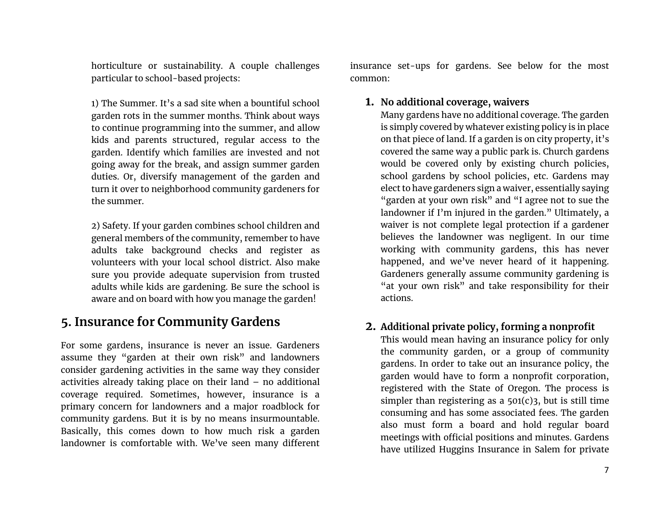horticulture or sustainability. A couple challenges particular to school-based projects:

1) The Summer. It's a sad site when a bountiful school garden rots in the summer months. Think about ways to continue programming into the summer, and allow kids and parents structured, regular access to the garden. Identify which families are invested and not going away for the break, and assign summer garden duties. Or, diversify management of the garden and turn it over to neighborhood community gardeners for the summer.

2) Safety. If your garden combines school children and general members of the community, remember to have adults take background checks and register as volunteers with your local school district. Also make sure you provide adequate supervision from trusted adults while kids are gardening. Be sure the school is aware and on board with how you manage the garden!

# **5. Insurance for Community Gardens**

For some gardens, insurance is never an issue. Gardeners assume they "garden at their own risk" and landowners consider gardening activities in the same way they consider activities already taking place on their land – no additional coverage required. Sometimes, however, insurance is a primary concern for landowners and a major roadblock for community gardens. But it is by no means insurmountable. Basically, this comes down to how much risk a garden landowner is comfortable with. We've seen many different

insurance set-ups for gardens. See below for the most common:

### **1. No additional coverage, waivers**

Many gardens have no additional coverage. The garden is simply covered by whatever existing policy is in place on that piece of land. If a garden is on city property, it's covered the same way a public park is. Church gardens would be covered only by existing church policies, school gardens by school policies, etc. Gardens may elect to have gardeners sign a waiver, essentially saying "garden at your own risk" and "I agree not to sue the landowner if I'm injured in the garden." Ultimately, a waiver is not complete legal protection if a gardener believes the landowner was negligent. In our time working with community gardens, this has never happened, and we've never heard of it happening. Gardeners generally assume community gardening is "at your own risk" and take responsibility for their actions.

### **2. Additional private policy, forming a nonprofit**

This would mean having an insurance policy for only the community garden, or a group of community gardens. In order to take out an insurance policy, the garden would have to form a nonprofit corporation, registered with the State of Oregon. The process is simpler than registering as a  $501(c)$ 3, but is still time consuming and has some associated fees. The garden also must form a board and hold regular board meetings with official positions and minutes. Gardens have utilized Huggins Insurance in Salem for private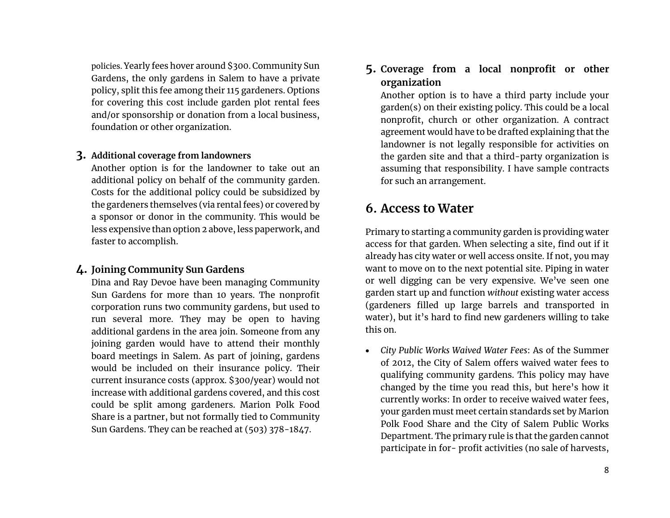policies. Yearly fees hover around \$300. Community Sun Gardens, the only gardens in Salem to have a private policy, split this fee among their 115 gardeners. Options for covering this cost include garden plot rental fees and/or sponsorship or donation from a local business, foundation or other organization.

### **3. Additional coverage from landowners**

Another option is for the landowner to take out an additional policy on behalf of the community garden. Costs for the additional policy could be subsidized by the gardeners themselves (via rental fees) or covered by a sponsor or donor in the community. This would be less expensive than option 2 above, less paperwork, and faster to accomplish.

### **4. Joining Community Sun Gardens**

Dina and Ray Devoe have been managing Community Sun Gardens for more than 10 years. The nonprofit corporation runs two community gardens, but used to run several more. They may be open to having additional gardens in the area join. Someone from any joining garden would have to attend their monthly board meetings in Salem. As part of joining, gardens would be included on their insurance policy. Their current insurance costs (approx. \$300/year) would not increase with additional gardens covered, and this cost could be split among gardeners. Marion Polk Food Share is a partner, but not formally tied to Community Sun Gardens. They can be reached at (503) 378-1847.

**5. Coverage from a local nonprofit or other organization**

Another option is to have a third party include your garden(s) on their existing policy. This could be a local nonprofit, church or other organization. A contract agreement would have to be drafted explaining that the landowner is not legally responsible for activities on the garden site and that a third-party organization is assuming that responsibility. I have sample contracts for such an arrangement.

## **6. Access to Water**

Primary to starting a community garden is providing water access for that garden. When selecting a site, find out if it already has city water or well access onsite. If not, you may want to move on to the next potential site. Piping in water or well digging can be very expensive. We've seen one garden start up and function *without* existing water access (gardeners filled up large barrels and transported in water), but it's hard to find new gardeners willing to take this on.

• *City Public Works Waived Water Fees*: As of the Summer of 2012, the City of Salem offers waived water fees to qualifying community gardens. This policy may have changed by the time you read this, but here's how it currently works: In order to receive waived water fees, your garden must meet certain standards set by Marion Polk Food Share and the City of Salem Public Works Department. The primary rule is that the garden cannot participate in for- profit activities (no sale of harvests,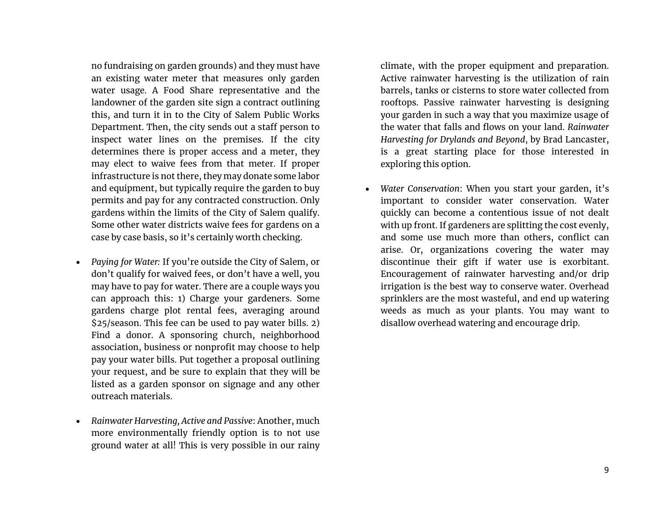no fundraising on garden grounds) and they must have an existing water meter that measures only garden water usage. A Food Share representative and the landowner of the garden site sign a contract outlining this, and turn it in to the City of Salem Public Works Department. Then, the city sends out a staff person to inspect water lines on the premises. If the city determines there is proper access and a meter, they may elect to waive fees from that meter. If proper infrastructure is not there, they may donate some labor and equipment, but typically require the garden to buy permits and pay for any contracted construction. Only gardens within the limits of the City of Salem qualify. Some other water districts waive fees for gardens on a case by case basis, so it's certainly worth checking.

- *Paying for Water:* If you're outside the City of Salem, or don't qualify for waived fees, or don't have a well, you may have to pay for water. There are a couple ways you can approach this: 1) Charge your gardeners. Some gardens charge plot rental fees, averaging around \$25/season. This fee can be used to pay water bills. 2) Find a donor. A sponsoring church, neighborhood association, business or nonprofit may choose to help pay your water bills. Put together a proposal outlining your request, and be sure to explain that they will be listed as a garden sponsor on signage and any other outreach materials.
- *Rainwater Harvesting, Active and Passive*: Another, much more environmentally friendly option is to not use ground water at all! This is very possible in our rainy

climate, with the proper equipment and preparation. Active rainwater harvesting is the utilization of rain barrels, tanks or cisterns to store water collected from rooftops. Passive rainwater harvesting is designing your garden in such a way that you maximize usage of the water that falls and flows on your land. *Rainwater Harvesting for Drylands and Beyond*, by Brad Lancaster, is a great starting place for those interested in exploring this option.

• *Water Conservation*: When you start your garden, it's important to consider water conservation. Water quickly can become a contentious issue of not dealt with up front. If gardeners are splitting the cost evenly, and some use much more than others, conflict can arise. Or, organizations covering the water may discontinue their gift if water use is exorbitant. Encouragement of rainwater harvesting and/or drip irrigation is the best way to conserve water. Overhead sprinklers are the most wasteful, and end up watering weeds as much as your plants. You may want to disallow overhead watering and encourage drip.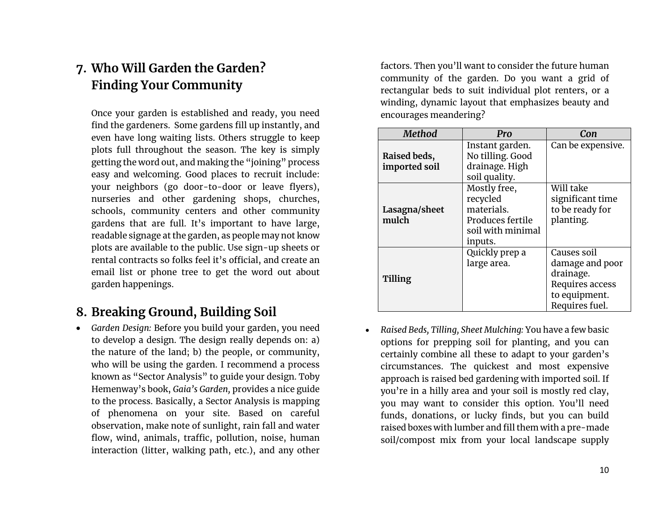# **7. Who Will Garden the Garden? Finding Your Community**

Once your garden is established and ready, you need find the gardeners. Some gardens fill up instantly, and even have long waiting lists. Others struggle to keep plots full throughout the season. The key is simply getting the word out, and making the "joining" process easy and welcoming. Good places to recruit include: your neighbors (go door-to-door or leave flyers), nurseries and other gardening shops, churches, schools, community centers and other community gardens that are full. It's important to have large, readable signage at the garden, as people may not know plots are available to the public. Use sign-up sheets or rental contracts so folks feel it's official, and create an email list or phone tree to get the word out about garden happenings.

## **8. Breaking Ground, Building Soil**

• *Garden Design:* Before you build your garden, you need to develop a design. The design really depends on: a) the nature of the land; b) the people, or community, who will be using the garden. I recommend a process known as "Sector Analysis" to guide your design. Toby Hemenway's book, *Gaia's Garden,* provides a nice guide to the process. Basically, a Sector Analysis is mapping of phenomena on your site. Based on careful observation, make note of sunlight, rain fall and water flow, wind, animals, traffic, pollution, noise, human interaction (litter, walking path, etc.), and any other

factors. Then you'll want to consider the future human community of the garden. Do you want a grid of rectangular beds to suit individual plot renters, or a winding, dynamic layout that emphasizes beauty and encourages meandering?

| <b>Method</b>                 | Pro                                                                                        | Con                                                                                               |
|-------------------------------|--------------------------------------------------------------------------------------------|---------------------------------------------------------------------------------------------------|
| Raised beds,<br>imported soil | Instant garden.<br>No tilling. Good<br>drainage. High<br>soil quality.                     | Can be expensive.                                                                                 |
| Lasagna/sheet<br>mulch        | Mostly free,<br>recycled<br>materials.<br>Produces fertile<br>soil with minimal<br>inputs. | Will take<br>significant time<br>to be ready for<br>planting.                                     |
| Tilling                       | Quickly prep a<br>large area.                                                              | Causes soil<br>damage and poor<br>drainage.<br>Requires access<br>to equipment.<br>Requires fuel. |

• *Raised Beds, Tilling, Sheet Mulching:* You have a few basic options for prepping soil for planting, and you can certainly combine all these to adapt to your garden's circumstances. The quickest and most expensive approach is raised bed gardening with imported soil. If you're in a hilly area and your soil is mostly red clay, you may want to consider this option. You'll need funds, donations, or lucky finds, but you can build raised boxes with lumber and fill them with a pre-made soil/compost mix from your local landscape supply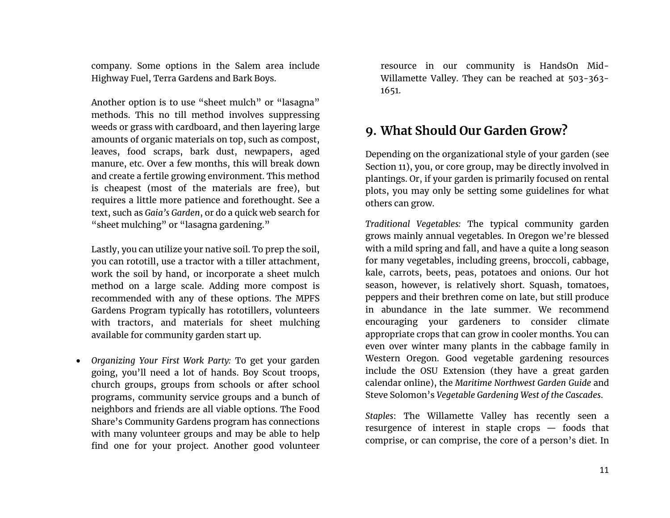company. Some options in the Salem area include Highway Fuel, Terra Gardens and Bark Boys.

Another option is to use "sheet mulch" or "lasagna" methods. This no till method involves suppressing weeds or grass with cardboard, and then layering large amounts of organic materials on top, such as compost, leaves, food scraps, bark dust, newpapers, aged manure, etc. Over a few months, this will break down and create a fertile growing environment. This method is cheapest (most of the materials are free), but requires a little more patience and forethought. See a text, such as *Gaia's Garden*, or do a quick web search for "sheet mulching" or "lasagna gardening."

Lastly, you can utilize your native soil. To prep the soil, you can rototill, use a tractor with a tiller attachment, work the soil by hand, or incorporate a sheet mulch method on a large scale. Adding more compost is recommended with any of these options. The MPFS Gardens Program typically has rototillers, volunteers with tractors, and materials for sheet mulching available for community garden start up.

• *Organizing Your First Work Party:* To get your garden going, you'll need a lot of hands. Boy Scout troops, church groups, groups from schools or after school programs, community service groups and a bunch of neighbors and friends are all viable options. The Food Share's Community Gardens program has connections with many volunteer groups and may be able to help find one for your project. Another good volunteer

resource in our community is HandsOn Mid-Willamette Valley. They can be reached at 503-363- 1651.

# **9. What Should Our Garden Grow?**

Depending on the organizational style of your garden (see Section 11), you, or core group, may be directly involved in plantings. Or, if your garden is primarily focused on rental plots, you may only be setting some guidelines for what others can grow.

*Traditional Vegetables:* The typical community garden grows mainly annual vegetables. In Oregon we're blessed with a mild spring and fall, and have a quite a long season for many vegetables, including greens, broccoli, cabbage, kale, carrots, beets, peas, potatoes and onions. Our hot season, however, is relatively short. Squash, tomatoes, peppers and their brethren come on late, but still produce in abundance in the late summer. We recommend encouraging your gardeners to consider climate appropriate crops that can grow in cooler months. You can even over winter many plants in the cabbage family in Western Oregon. Good vegetable gardening resources include the OSU Extension (they have a great garden calendar online), the *Maritime Northwest Garden Guide* and Steve Solomon's *Vegetable Gardening West of the Cascades*.

*Staples*: The Willamette Valley has recently seen a resurgence of interest in staple crops — foods that comprise, or can comprise, the core of a person's diet. In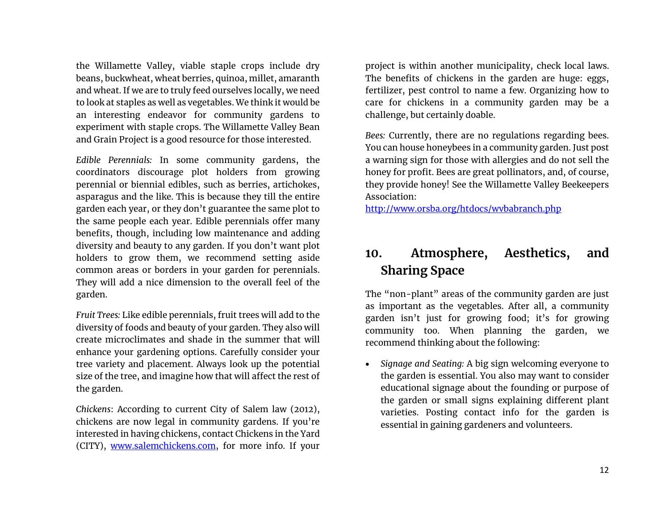the Willamette Valley, viable staple crops include dry beans, buckwheat, wheat berries, quinoa, millet, amaranth and wheat. If we are to truly feed ourselves locally, we need to look at staples as well as vegetables. We think it would be an interesting endeavor for community gardens to experiment with staple crops. The Willamette Valley Bean and Grain Project is a good resource for those interested.

*Edible Perennials:* In some community gardens, the coordinators discourage plot holders from growing perennial or biennial edibles, such as berries, artichokes, asparagus and the like. This is because they till the entire garden each year, or they don't guarantee the same plot to the same people each year. Edible perennials offer many benefits, though, including low maintenance and adding diversity and beauty to any garden. If you don't want plot holders to grow them, we recommend setting aside common areas or borders in your garden for perennials. They will add a nice dimension to the overall feel of the garden.

*Fruit Trees:* Like edible perennials, fruit trees will add to the diversity of foods and beauty of your garden. They also will create microclimates and shade in the summer that will enhance your gardening options. Carefully consider your tree variety and placement. Always look up the potential size of the tree, and imagine how that will affect the rest of the garden.

*Chickens*: According to current City of Salem law (2012), chickens are now legal in community gardens. If you're interested in having chickens, contact Chickens in the Yard (CITY), [www.salemchickens.com,](http://www.salemchickens.com/) for more info. If your

project is within another municipality, check local laws. The benefits of chickens in the garden are huge: eggs, fertilizer, pest control to name a few. Organizing how to care for chickens in a community garden may be a challenge, but certainly doable.

*Bees:* Currently, there are no regulations regarding bees. You can house honeybees in a community garden. Just post a warning sign for those with allergies and do not sell the honey for profit. Bees are great pollinators, and, of course, they provide honey! See the Willamette Valley Beekeepers Association:

<http://www.orsba.org/htdocs/wvbabranch.php>

# **10. Atmosphere, Aesthetics, and Sharing Space**

The "non-plant" areas of the community garden are just as important as the vegetables. After all, a community garden isn't just for growing food; it's for growing community too. When planning the garden, we recommend thinking about the following:

• *Signage and Seating:* A big sign welcoming everyone to the garden is essential. You also may want to consider educational signage about the founding or purpose of the garden or small signs explaining different plant varieties. Posting contact info for the garden is essential in gaining gardeners and volunteers.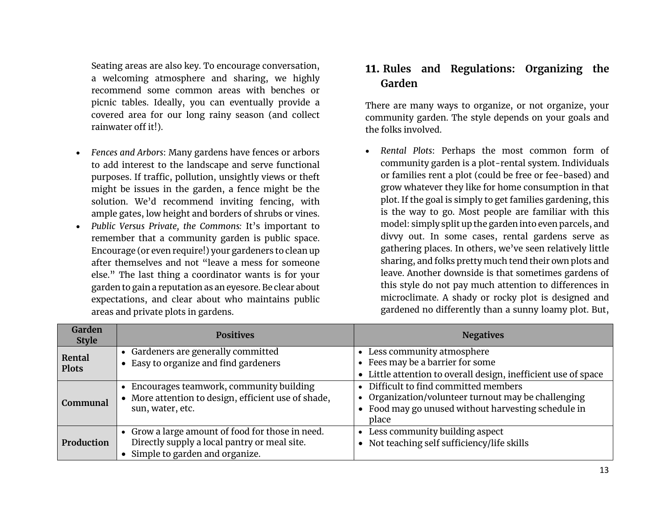Seating areas are also key. To encourage conversation, a welcoming atmosphere and sharing, we highly recommend some common areas with benches or picnic tables. Ideally, you can eventually provide a covered area for our long rainy season (and collect rainwater off it!).

- *Fences and Arbors*: Many gardens have fences or arbors to add interest to the landscape and serve functional purposes. If traffic, pollution, unsightly views or theft might be issues in the garden, a fence might be the solution. We'd recommend inviting fencing, with ample gates, low height and borders of shrubs or vines.
- *Public Versus Private, the Commons:* It's important to remember that a community garden is public space. Encourage (or even require!) your gardeners to clean up after themselves and not "leave a mess for someone else." The last thing a coordinator wants is for your garden to gain a reputation as an eyesore. Be clear about expectations, and clear about who maintains public areas and private plots in gardens.

### **11. Rules and Regulations: Organizing the Garden**

There are many ways to organize, or not organize, your community garden. The style depends on your goals and the folks involved.

• *Rental Plots*: Perhaps the most common form of community garden is a plot-rental system. Individuals or families rent a plot (could be free or fee-based) and grow whatever they like for home consumption in that plot. If the goal is simply to get families gardening, this is the way to go. Most people are familiar with this model: simply split up the garden into even parcels, and divvy out. In some cases, rental gardens serve as gathering places. In others, we've seen relatively little sharing, and folks pretty much tend their own plots and leave. Another downside is that sometimes gardens of this style do not pay much attention to differences in microclimate. A shady or rocky plot is designed and gardened no differently than a sunny loamy plot. But,

| Garden<br><b>Style</b> | <b>Positives</b>                                                                                                                     | <b>Negatives</b>                                                                                                                                             |
|------------------------|--------------------------------------------------------------------------------------------------------------------------------------|--------------------------------------------------------------------------------------------------------------------------------------------------------------|
| Rental<br><b>Plots</b> | • Gardeners are generally committed<br>Easy to organize and find gardeners<br>$\bullet$                                              | • Less community atmosphere<br>• Fees may be a barrier for some<br>• Little attention to overall design, inefficient use of space                            |
| Communal               | • Encourages teamwork, community building<br>More attention to design, efficient use of shade,<br>sun, water, etc.                   | • Difficult to find committed members<br>• Organization/volunteer turnout may be challenging<br>• Food may go unused without harvesting schedule in<br>place |
| Production             | • Grow a large amount of food for those in need.<br>Directly supply a local pantry or meal site.<br>• Simple to garden and organize. | Less community building aspect<br>Not teaching self sufficiency/life skills                                                                                  |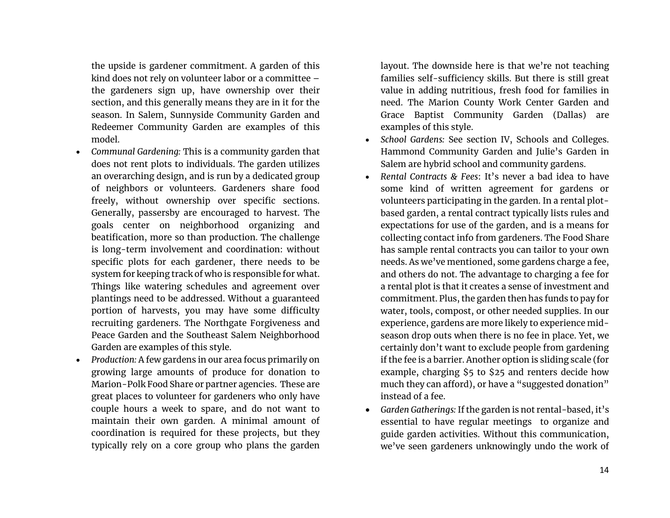the upside is gardener commitment. A garden of this kind does not rely on volunteer labor or a committee – the gardeners sign up, have ownership over their section, and this generally means they are in it for the season. In Salem, Sunnyside Community Garden and Redeemer Community Garden are examples of this model.

- *Communal Gardening:* This is a community garden that does not rent plots to individuals. The garden utilizes an overarching design, and is run by a dedicated group of neighbors or volunteers. Gardeners share food freely, without ownership over specific sections. Generally, passersby are encouraged to harvest. The goals center on neighborhood organizing and beatification, more so than production. The challenge is long-term involvement and coordination: without specific plots for each gardener, there needs to be system for keeping track of who is responsible for what. Things like watering schedules and agreement over plantings need to be addressed. Without a guaranteed portion of harvests, you may have some difficulty recruiting gardeners. The Northgate Forgiveness and Peace Garden and the Southeast Salem Neighborhood Garden are examples of this style.
- *Production:* A few gardens in our area focus primarily on growing large amounts of produce for donation to Marion-Polk Food Share or partner agencies. These are great places to volunteer for gardeners who only have couple hours a week to spare, and do not want to maintain their own garden. A minimal amount of coordination is required for these projects, but they typically rely on a core group who plans the garden

layout. The downside here is that we're not teaching families self-sufficiency skills. But there is still great value in adding nutritious, fresh food for families in need. The Marion County Work Center Garden and Grace Baptist Community Garden (Dallas) are examples of this style.

- *School Gardens:* See section IV, Schools and Colleges. Hammond Community Garden and Julie's Garden in Salem are hybrid school and community gardens.
- *Rental Contracts & Fees*: It's never a bad idea to have some kind of written agreement for gardens or volunteers participating in the garden. In a rental plotbased garden, a rental contract typically lists rules and expectations for use of the garden, and is a means for collecting contact info from gardeners. The Food Share has sample rental contracts you can tailor to your own needs. As we've mentioned, some gardens charge a fee, and others do not. The advantage to charging a fee for a rental plot is that it creates a sense of investment and commitment. Plus, the garden then has funds to pay for water, tools, compost, or other needed supplies. In our experience, gardens are more likely to experience midseason drop outs when there is no fee in place. Yet, we certainly don't want to exclude people from gardening if the fee is a barrier. Another option is sliding scale (for example, charging \$5 to \$25 and renters decide how much they can afford), or have a "suggested donation" instead of a fee.
- *Garden Gatherings:* If the garden is not rental-based, it's essential to have regular meetings to organize and guide garden activities. Without this communication, we've seen gardeners unknowingly undo the work of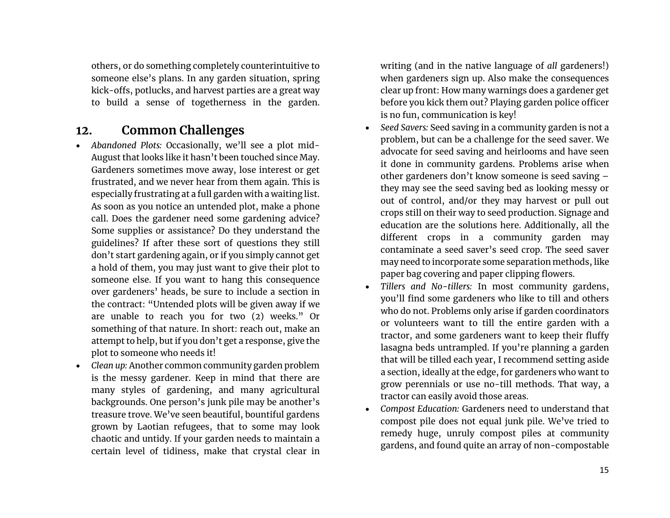others, or do something completely counterintuitive to someone else's plans. In any garden situation, spring kick-offs, potlucks, and harvest parties are a great way to build a sense of togetherness in the garden.

### **12. Common Challenges**

- *Abandoned Plots:* Occasionally, we'll see a plot mid-August that looks like it hasn't been touched since May. Gardeners sometimes move away, lose interest or get frustrated, and we never hear from them again. This is especially frustrating at a full garden with a waiting list. As soon as you notice an untended plot, make a phone call. Does the gardener need some gardening advice? Some supplies or assistance? Do they understand the guidelines? If after these sort of questions they still don't start gardening again, or if you simply cannot get a hold of them, you may just want to give their plot to someone else. If you want to hang this consequence over gardeners' heads, be sure to include a section in the contract: "Untended plots will be given away if we are unable to reach you for two (2) weeks." Or something of that nature. In short: reach out, make an attempt to help, but if you don't get a response, give the plot to someone who needs it!
- *Clean up:* Another common community garden problem is the messy gardener. Keep in mind that there are many styles of gardening, and many agricultural backgrounds. One person's junk pile may be another's treasure trove. We've seen beautiful, bountiful gardens grown by Laotian refugees, that to some may look chaotic and untidy. If your garden needs to maintain a certain level of tidiness, make that crystal clear in

writing (and in the native language of *all* gardeners!) when gardeners sign up. Also make the consequences clear up front: How many warnings does a gardener get before you kick them out? Playing garden police officer is no fun, communication is key!

- *Seed Savers:* Seed saving in a community garden is not a problem, but can be a challenge for the seed saver. We advocate for seed saving and heirlooms and have seen it done in community gardens. Problems arise when other gardeners don't know someone is seed saving – they may see the seed saving bed as looking messy or out of control, and/or they may harvest or pull out crops still on their way to seed production. Signage and education are the solutions here. Additionally, all the different crops in a community garden may contaminate a seed saver's seed crop. The seed saver may need to incorporate some separation methods, like paper bag covering and paper clipping flowers.
- *Tillers and No-tillers:* In most community gardens, you'll find some gardeners who like to till and others who do not. Problems only arise if garden coordinators or volunteers want to till the entire garden with a tractor, and some gardeners want to keep their fluffy lasagna beds untrampled. If you're planning a garden that will be tilled each year, I recommend setting aside a section, ideally at the edge, for gardeners who want to grow perennials or use no-till methods. That way, a tractor can easily avoid those areas.
- *Compost Education:* Gardeners need to understand that compost pile does not equal junk pile. We've tried to remedy huge, unruly compost piles at community gardens, and found quite an array of non-compostable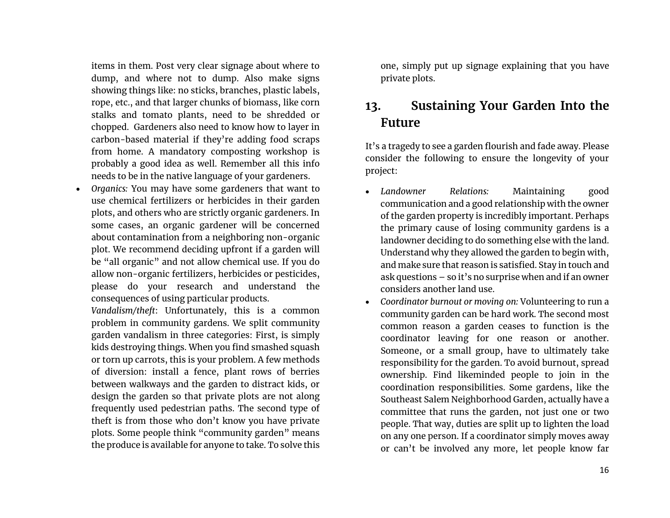items in them. Post very clear signage about where to dump, and where not to dump. Also make signs showing things like: no sticks, branches, plastic labels, rope, etc., and that larger chunks of biomass, like corn stalks and tomato plants, need to be shredded or chopped. Gardeners also need to know how to layer in carbon-based material if they're adding food scraps from home. A mandatory composting workshop is probably a good idea as well. Remember all this info needs to be in the native language of your gardeners.

• *Organics:* You may have some gardeners that want to use chemical fertilizers or herbicides in their garden plots, and others who are strictly organic gardeners. In some cases, an organic gardener will be concerned about contamination from a neighboring non-organic plot. We recommend deciding upfront if a garden will be "all organic" and not allow chemical use. If you do allow non-organic fertilizers, herbicides or pesticides, please do your research and understand the consequences of using particular products.

*Vandalism/theft*: Unfortunately, this is a common problem in community gardens. We split community garden vandalism in three categories: First, is simply kids destroying things. When you find smashed squash or torn up carrots, this is your problem. A few methods of diversion: install a fence, plant rows of berries between walkways and the garden to distract kids, or design the garden so that private plots are not along frequently used pedestrian paths. The second type of theft is from those who don't know you have private plots. Some people think "community garden" means the produce is available for anyone to take. To solve this

one, simply put up signage explaining that you have private plots.

## **13. Sustaining Your Garden Into the Future**

It's a tragedy to see a garden flourish and fade away. Please consider the following to ensure the longevity of your project:

- *Landowner Relations:* Maintaining good communication and a good relationship with the owner of the garden property is incredibly important. Perhaps the primary cause of losing community gardens is a landowner deciding to do something else with the land. Understand why they allowed the garden to begin with, and make sure that reason is satisfied. Stay in touch and ask questions – so it's no surprise when and if an owner considers another land use.
- *Coordinator burnout or moving on:* Volunteering to run a community garden can be hard work. The second most common reason a garden ceases to function is the coordinator leaving for one reason or another. Someone, or a small group, have to ultimately take responsibility for the garden. To avoid burnout, spread ownership. Find likeminded people to join in the coordination responsibilities. Some gardens, like the Southeast Salem Neighborhood Garden, actually have a committee that runs the garden, not just one or two people. That way, duties are split up to lighten the load on any one person. If a coordinator simply moves away or can't be involved any more, let people know far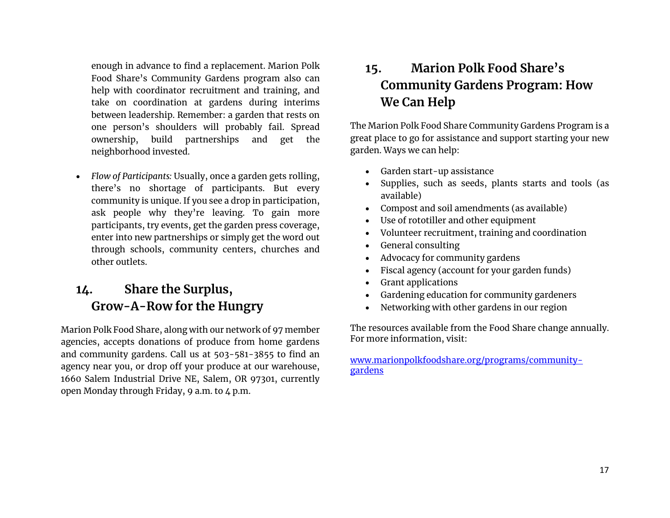enough in advance to find a replacement. Marion Polk Food Share's Community Gardens program also can help with coordinator recruitment and training, and take on coordination at gardens during interims between leadership. Remember: a garden that rests on one person's shoulders will probably fail. Spread ownership, build partnerships and get the neighborhood invested.

• *Flow of Participants:* Usually, once a garden gets rolling, there's no shortage of participants. But every community is unique. If you see a drop in participation, ask people why they're leaving. To gain more participants, try events, get the garden press coverage, enter into new partnerships or simply get the word out through schools, community centers, churches and other outlets.

# **14. Share the Surplus, Grow-A-Row for the Hungry**

Marion Polk Food Share, along with our network of 97 member agencies, accepts donations of produce from home gardens and community gardens. Call us at 503-581-3855 to find an agency near you, or drop off your produce at our warehouse, 1660 Salem Industrial Drive NE, Salem, OR 97301, currently open Monday through Friday, 9 a.m. to  $4$  p.m.

# **15. Marion Polk Food Share's Community Gardens Program: How We Can Help**

The Marion Polk Food Share Community Gardens Program is a great place to go for assistance and support starting your new garden. Ways we can help:

- Garden start-up assistance
- Supplies, such as seeds, plants starts and tools (as available)
- Compost and soil amendments (as available)
- Use of rototiller and other equipment
- Volunteer recruitment, training and coordination
- General consulting
- Advocacy for community gardens
- Fiscal agency (account for your garden funds)
- Grant applications
- Gardening education for community gardeners
- Networking with other gardens in our region

The resources available from the Food Share change annually. For more information, visit:

[www.marionpolkfoodshare.org/](http://www.marionpolkfoodshare.org/)programs/communitygardens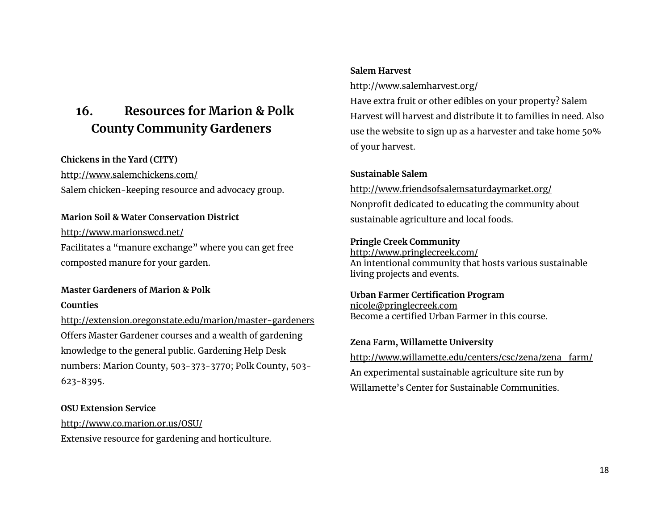# **16. Resources for Marion & Polk County Community Gardeners**

### **Chickens in the Yard (CITY)**

[http://www.salemchickens.com/](http://www.salemchickens.com/%20Salem)  Salem chicken-keeping resource and advocacy group.

#### **Marion Soil & Water Conservation District**

[http://www.marionswcd.net/](http://www.marionswcd.net/Source) Facilitates a "manure exchange" where you can get free composted manure for your garden.

### **Master Gardeners of Marion & Polk**

#### **Counties**

[http://extension.oregonstate.edu/marion/master-gardeners](http://extension.oregonstate.edu/marion/master-gardenersOffers) Offers Master Gardener courses and a wealth of gardening knowledge to the general public. Gardening Help Desk numbers: Marion County, 503-373-3770; Polk County, 503- 623-8395.

### **OSU Extension Service**

<http://www.co.marion.or.us/OSU/> Extensive resource for gardening and horticulture.

### **Salem Harvest**

#### <http://www.salemharvest.org/>

Have extra fruit or other edibles on your property? Salem Harvest will harvest and distribute it to families in need. Also use the website to sign up as a harvester and take home 50% of your harvest.

### **Sustainable Salem**

<http://www.friendsofsalemsaturdaymarket.org/> Nonprofit dedicated to educating the community about sustainable agriculture and local foods.

#### **Pringle Creek Community**

<http://www.pringlecreek.com/> An intentional community that hosts various sustainable living projects and events.

#### **Urban Farmer Certification Program** nicole@pringlecreek.com Become a certified Urban Farmer in this course.

**Zena Farm, Willamette University**

http://www.willamette.edu/centers/csc/zena/zena\_farm/ An experimental sustainable agriculture site run by Willamette's Center for Sustainable Communities.